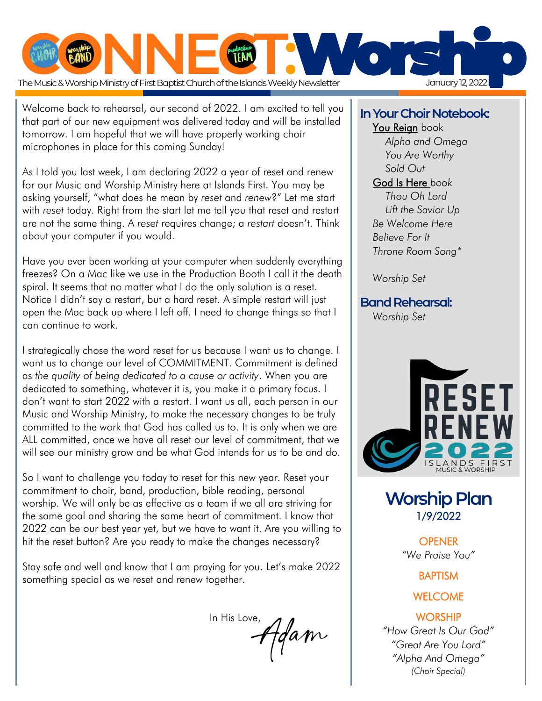

 Welcome back to rehearsal, our second of 2022. I am excited to tell you that part of our new equipment was delivered today and will be installed tomorrow. I am hopeful that we will have properly working choir microphones in place for this coming Sunday!

As I told you last week, I am declaring 2022 a year of reset and renew for our Music and Worship Ministry here at Islands First. You may be asking yourself, "what does he mean by *reset* and *renew*?" Let me start with *reset* today. Right from the start let me tell you that reset and restart are not the same thing. A *reset* requires change; a *restart* doesn't. Think about your computer if you would.

Have you ever been working at your computer when suddenly everything freezes? On a Mac like we use in the Production Booth I call it the death spiral. It seems that no matter what I do the only solution is a reset. Notice I didn't say a restart, but a hard reset. A simple restart will just open the Mac back up where I left off. I need to change things so that I can continue to work.

I strategically chose the word reset for us because I want us to change. I want us to change our level of COMMITMENT. Commitment is defined as *the quality of being dedicated to a cause or activity*. When you are dedicated to something, whatever it is, you make it a primary focus. I don't want to start 2022 with a restart. I want us all, each person in our Music and Worship Ministry, to make the necessary changes to be truly committed to the work that God has called us to. It is only when we are ALL committed, once we have all reset our level of commitment, that we will see our ministry grow and be what God intends for us to be and do.

So I want to challenge you today to reset for this new year. Reset your commitment to choir, band, production, bible reading, personal worship. We will only be as effective as a team if we all are striving for the same goal and sharing the same heart of commitment. I know that 2022 can be our best year yet, but we have to want it. Are you willing to hit the reset button? Are you ready to make the changes necessary?

Stay safe and well and know that I am praying for you. Let's make 2022 something special as we reset and renew together.

 In His Love, foam

#### **In Your Choir Notebook:**

#### You Reign book

*Alpha and Omega You Are Worthy Sold Out*

#### God Is Here *book*

*Thou Oh Lord Lift the Savior Up Be Welcome Here Believe For It Throne Room Song\**

*Worship Set*

#### **Band Rehearsal:**

*Worship Set*



**Worship Plan**  1/9/2022

> **OPENER** *"We Praise You"*

> > BAPTISM

#### **WELCOME**

#### **WORSHIP**

*"How Great Is Our God" "Great Are You Lord" "Alpha And Omega" (Choir Special)*